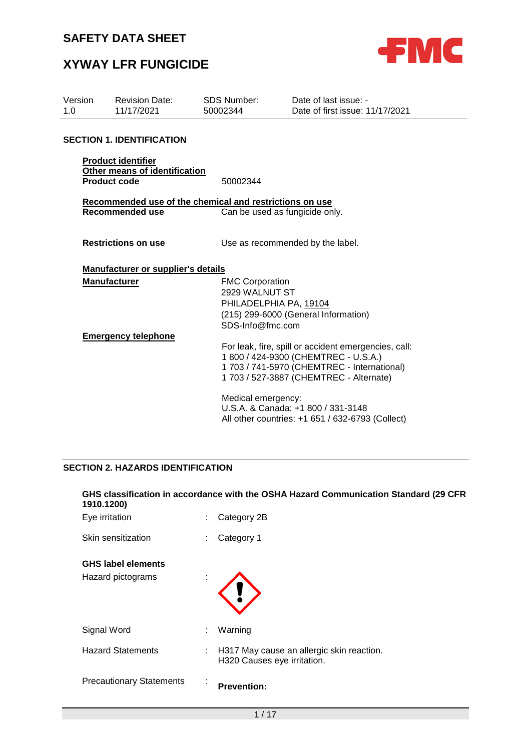

# **XYWAY LFR FUNGICIDE**

| Version<br>1.0 | <b>Revision Date:</b><br>11/17/2021                        | <b>SDS Number:</b><br>50002344                               | Date of last issue: -<br>Date of first issue: 11/17/2021                                                                                                                               |
|----------------|------------------------------------------------------------|--------------------------------------------------------------|----------------------------------------------------------------------------------------------------------------------------------------------------------------------------------------|
|                | <b>SECTION 1. IDENTIFICATION</b>                           |                                                              |                                                                                                                                                                                        |
|                | <b>Product identifier</b><br>Other means of identification |                                                              |                                                                                                                                                                                        |
|                | <b>Product code</b>                                        | 50002344                                                     |                                                                                                                                                                                        |
|                |                                                            | Recommended use of the chemical and restrictions on use      |                                                                                                                                                                                        |
|                | Recommended use                                            |                                                              | Can be used as fungicide only.                                                                                                                                                         |
|                | <b>Restrictions on use</b>                                 |                                                              | Use as recommended by the label.                                                                                                                                                       |
|                | Manufacturer or supplier's details                         |                                                              |                                                                                                                                                                                        |
|                | <b>Manufacturer</b>                                        | <b>FMC Corporation</b><br>2929 WALNUT ST<br>SDS-Info@fmc.com | PHILADELPHIA PA, 19104<br>(215) 299-6000 (General Information)                                                                                                                         |
|                | <b>Emergency telephone</b>                                 |                                                              | For leak, fire, spill or accident emergencies, call:<br>1 800 / 424-9300 (CHEMTREC - U.S.A.)<br>1 703 / 741-5970 (CHEMTREC - International)<br>1 703 / 527-3887 (CHEMTREC - Alternate) |
|                |                                                            | Medical emergency:                                           | U.S.A. & Canada: +1 800 / 331-3148<br>All other countries: +1 651 / 632-6793 (Collect)                                                                                                 |
|                |                                                            |                                                              |                                                                                                                                                                                        |

### **SECTION 2. HAZARDS IDENTIFICATION**

### **GHS classification in accordance with the OSHA Hazard Communication Standard (29 CFR 1910.1200)**

| Eye irritation                  |    | Category 2B                                                              |
|---------------------------------|----|--------------------------------------------------------------------------|
| Skin sensitization              | t  | Category 1                                                               |
| <b>GHS label elements</b>       |    |                                                                          |
| Hazard pictograms               | ٠  |                                                                          |
| Signal Word                     | ÷  | Warning                                                                  |
| <b>Hazard Statements</b>        | t. | H317 May cause an allergic skin reaction.<br>H320 Causes eye irritation. |
| <b>Precautionary Statements</b> | ٠  | <b>Prevention:</b>                                                       |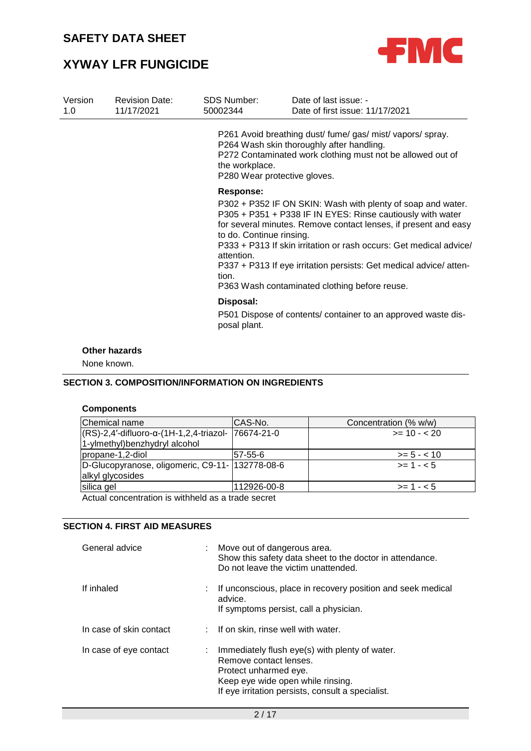

# **XYWAY LFR FUNGICIDE**

| Version<br>1.0 | <b>Revision Date:</b><br>11/17/2021 | <b>SDS Number:</b><br>50002344                                      | Date of last issue: -<br>Date of first issue: 11/17/2021                                                                                                                                                                                                                                                                                                                                 |
|----------------|-------------------------------------|---------------------------------------------------------------------|------------------------------------------------------------------------------------------------------------------------------------------------------------------------------------------------------------------------------------------------------------------------------------------------------------------------------------------------------------------------------------------|
|                |                                     | the workplace.<br>P280 Wear protective gloves.                      | P261 Avoid breathing dust/ fume/ gas/ mist/ vapors/ spray.<br>P264 Wash skin thoroughly after handling.<br>P272 Contaminated work clothing must not be allowed out of                                                                                                                                                                                                                    |
|                |                                     | <b>Response:</b><br>to do. Continue rinsing.<br>attention.<br>tion. | P302 + P352 IF ON SKIN: Wash with plenty of soap and water.<br>P305 + P351 + P338 IF IN EYES: Rinse cautiously with water<br>for several minutes. Remove contact lenses, if present and easy<br>P333 + P313 If skin irritation or rash occurs: Get medical advice/<br>P337 + P313 If eye irritation persists: Get medical advice/atten-<br>P363 Wash contaminated clothing before reuse. |
|                |                                     | Disposal:<br>posal plant.                                           | P501 Dispose of contents/ container to an approved waste dis-                                                                                                                                                                                                                                                                                                                            |
| None known.    | <b>Other hazards</b>                |                                                                     |                                                                                                                                                                                                                                                                                                                                                                                          |

### **SECTION 3. COMPOSITION/INFORMATION ON INGREDIENTS**

### **Components**

| Chemical name                                               | CAS-No.     | Concentration (% w/w) |  |  |
|-------------------------------------------------------------|-------------|-----------------------|--|--|
| $ (RS)-2,4'-diffluoro-\alpha-(1H-1,2,4-triazol-$ 76674-21-0 |             | $>= 10 - 20$          |  |  |
| 1-ylmethyl) benzhydryl alcohol                              |             |                       |  |  |
| propane-1,2-diol                                            | 57-55-6     | $>= 5 - < 10$         |  |  |
| D-Glucopyranose, oligomeric, C9-11- 132778-08-6             |             | $>= 1 - 5$            |  |  |
| alkyl glycosides                                            |             |                       |  |  |
| silica gel                                                  | 112926-00-8 | $>= 1 - 5$            |  |  |
| Actual concentration is withheld as a trade secret          |             |                       |  |  |

#### **SECTION 4. FIRST AID MEASURES**

| General advice          |    | Move out of dangerous area.<br>Show this safety data sheet to the doctor in attendance.<br>Do not leave the victim unattended.                                                                |
|-------------------------|----|-----------------------------------------------------------------------------------------------------------------------------------------------------------------------------------------------|
| If inhaled              | t. | If unconscious, place in recovery position and seek medical<br>advice.<br>If symptoms persist, call a physician.                                                                              |
| In case of skin contact |    | : If on skin, rinse well with water.                                                                                                                                                          |
| In case of eye contact  |    | : Immediately flush eye(s) with plenty of water.<br>Remove contact lenses.<br>Protect unharmed eye.<br>Keep eye wide open while rinsing.<br>If eye irritation persists, consult a specialist. |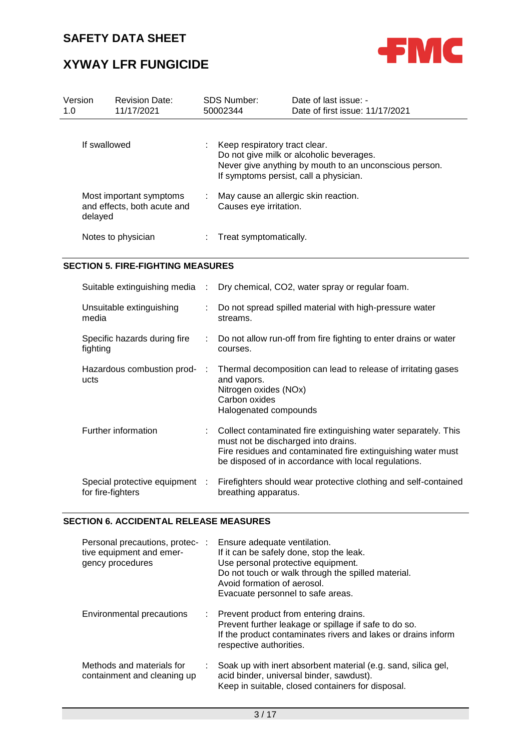

# **XYWAY LFR FUNGICIDE**

| Version<br>1.0 |         | <b>Revision Date:</b><br>11/17/2021                    |                                                                                                                                                                               | SDS Number:<br>50002344                                        | Date of last issue: -<br>Date of first issue: 11/17/2021 |  |  |
|----------------|---------|--------------------------------------------------------|-------------------------------------------------------------------------------------------------------------------------------------------------------------------------------|----------------------------------------------------------------|----------------------------------------------------------|--|--|
| If swallowed   |         | ÷.                                                     | Keep respiratory tract clear.<br>Do not give milk or alcoholic beverages.<br>Never give anything by mouth to an unconscious person.<br>If symptoms persist, call a physician. |                                                                |                                                          |  |  |
|                | delayed | Most important symptoms<br>and effects, both acute and |                                                                                                                                                                               | May cause an allergic skin reaction.<br>Causes eye irritation. |                                                          |  |  |
|                |         | Notes to physician                                     |                                                                                                                                                                               | Treat symptomatically.                                         |                                                          |  |  |

#### **SECTION 5. FIRE-FIGHTING MEASURES**

|                                                     |        | Suitable extinguishing media : Dry chemical, CO2, water spray or regular foam.                                                                                                                                                  |
|-----------------------------------------------------|--------|---------------------------------------------------------------------------------------------------------------------------------------------------------------------------------------------------------------------------------|
| Unsuitable extinguishing<br>media                   | ÷.     | Do not spread spilled material with high-pressure water<br>streams.                                                                                                                                                             |
| Specific hazards during fire<br>fighting            |        | : Do not allow run-off from fire fighting to enter drains or water<br>courses.                                                                                                                                                  |
| Hazardous combustion prod-<br>ucts                  | $\sim$ | Thermal decomposition can lead to release of irritating gases<br>and vapors.<br>Nitrogen oxides (NOx)<br>Carbon oxides<br>Halogenated compounds                                                                                 |
| Further information                                 |        | : Collect contaminated fire extinguishing water separately. This<br>must not be discharged into drains.<br>Fire residues and contaminated fire extinguishing water must<br>be disposed of in accordance with local regulations. |
| Special protective equipment :<br>for fire-fighters |        | Firefighters should wear protective clothing and self-contained<br>breathing apparatus.                                                                                                                                         |

#### **SECTION 6. ACCIDENTAL RELEASE MEASURES**

| Personal precautions, protec- :<br>tive equipment and emer-<br>gency procedures | Ensure adequate ventilation.<br>If it can be safely done, stop the leak.<br>Use personal protective equipment.<br>Do not touch or walk through the spilled material.<br>Avoid formation of aerosol.<br>Evacuate personnel to safe areas. |
|---------------------------------------------------------------------------------|------------------------------------------------------------------------------------------------------------------------------------------------------------------------------------------------------------------------------------------|
| <b>Environmental precautions</b>                                                | : Prevent product from entering drains.<br>Prevent further leakage or spillage if safe to do so.<br>If the product contaminates rivers and lakes or drains inform<br>respective authorities.                                             |
| Methods and materials for<br>containment and cleaning up                        | Soak up with inert absorbent material (e.g. sand, silica gel,<br>acid binder, universal binder, sawdust).<br>Keep in suitable, closed containers for disposal.                                                                           |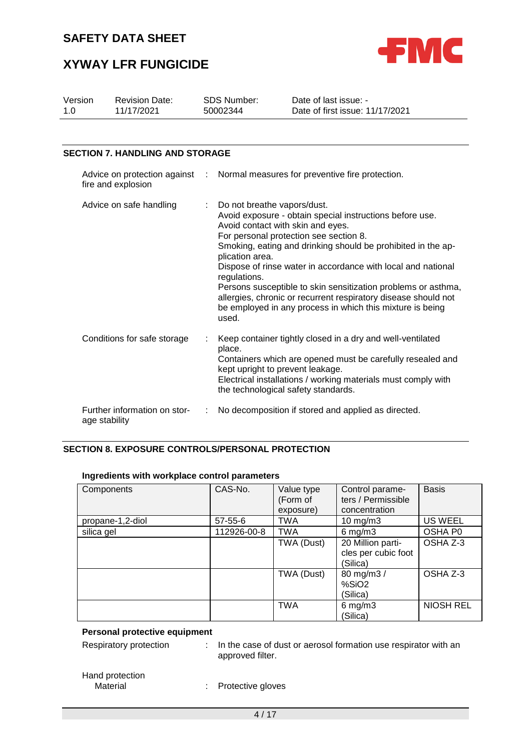

# **XYWAY LFR FUNGICIDE**

| Version<br>1.0                                       | <b>Revision Date:</b><br>11/17/2021           | <b>SDS Number:</b><br>Date of last issue: -<br>50002344 |                                                                                                                                                                                                                                                                                                                                                                                                                                                                                                                                                    | Date of first issue: 11/17/2021                                                                                                                                                                                                  |  |  |
|------------------------------------------------------|-----------------------------------------------|---------------------------------------------------------|----------------------------------------------------------------------------------------------------------------------------------------------------------------------------------------------------------------------------------------------------------------------------------------------------------------------------------------------------------------------------------------------------------------------------------------------------------------------------------------------------------------------------------------------------|----------------------------------------------------------------------------------------------------------------------------------------------------------------------------------------------------------------------------------|--|--|
|                                                      |                                               |                                                         |                                                                                                                                                                                                                                                                                                                                                                                                                                                                                                                                                    |                                                                                                                                                                                                                                  |  |  |
|                                                      | <b>SECTION 7. HANDLING AND STORAGE</b>        |                                                         |                                                                                                                                                                                                                                                                                                                                                                                                                                                                                                                                                    |                                                                                                                                                                                                                                  |  |  |
| Advice on protection against :<br>fire and explosion |                                               |                                                         | Normal measures for preventive fire protection.                                                                                                                                                                                                                                                                                                                                                                                                                                                                                                    |                                                                                                                                                                                                                                  |  |  |
|                                                      | Advice on safe handling                       |                                                         | Do not breathe vapors/dust.<br>Avoid exposure - obtain special instructions before use.<br>Avoid contact with skin and eyes.<br>For personal protection see section 8.<br>Smoking, eating and drinking should be prohibited in the ap-<br>plication area.<br>Dispose of rinse water in accordance with local and national<br>regulations.<br>Persons susceptible to skin sensitization problems or asthma,<br>allergies, chronic or recurrent respiratory disease should not<br>be employed in any process in which this mixture is being<br>used. |                                                                                                                                                                                                                                  |  |  |
|                                                      | Conditions for safe storage                   |                                                         | place.<br>kept upright to prevent leakage.                                                                                                                                                                                                                                                                                                                                                                                                                                                                                                         | Keep container tightly closed in a dry and well-ventilated<br>Containers which are opened must be carefully resealed and<br>Electrical installations / working materials must comply with<br>the technological safety standards. |  |  |
|                                                      | Further information on stor-<br>age stability |                                                         |                                                                                                                                                                                                                                                                                                                                                                                                                                                                                                                                                    | No decomposition if stored and applied as directed.                                                                                                                                                                              |  |  |

### **SECTION 8. EXPOSURE CONTROLS/PERSONAL PROTECTION**

| Components       | CAS-No.       | Value type<br>(Form of<br>exposure) | Control parame-<br>ters / Permissible<br>concentration | <b>Basis</b>     |
|------------------|---------------|-------------------------------------|--------------------------------------------------------|------------------|
| propane-1,2-diol | $57 - 55 - 6$ | <b>TWA</b>                          | $10 \text{ mg/m}$                                      | US WEEL          |
| silica gel       | 112926-00-8   | <b>TWA</b>                          | $6$ mg/m $3$                                           | OSHA P0          |
|                  |               | TWA (Dust)                          | 20 Million parti-<br>cles per cubic foot<br>(Silica)   | OSHA Z-3         |
|                  |               | TWA (Dust)                          | 80 mg/m3 /<br>%SiO <sub>2</sub><br>(Silica)            | OSHA Z-3         |
|                  |               | <b>TWA</b>                          | $6$ mg/m $3$<br>(Silica)                               | <b>NIOSH REL</b> |

#### **Ingredients with workplace control parameters**

### **Personal protective equipment**

Respiratory protection : In the case of dust or aerosol formation use respirator with an approved filter.

# Hand protection<br>Material

: Protective gloves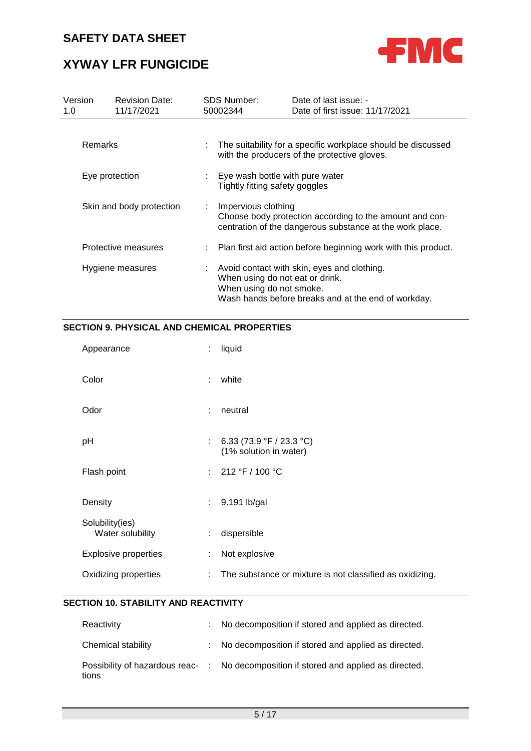

# **XYWAY LFR FUNGICIDE**

| Version<br>1.0           | <b>Revision Date:</b><br>11/17/2021 |                           | <b>SDS Number:</b><br>50002344                                      | Date of last issue: -<br>Date of first issue: 11/17/2021                                                            |
|--------------------------|-------------------------------------|---------------------------|---------------------------------------------------------------------|---------------------------------------------------------------------------------------------------------------------|
| <b>Remarks</b>           |                                     |                           |                                                                     | The suitability for a specific workplace should be discussed<br>with the producers of the protective gloves.        |
| Eye protection           |                                     |                           | : Eye wash bottle with pure water<br>Tightly fitting safety goggles |                                                                                                                     |
| Skin and body protection |                                     | $\mathbb{Z}^{\mathbb{Z}}$ | Impervious clothing                                                 | Choose body protection according to the amount and con-<br>centration of the dangerous substance at the work place. |
|                          | Protective measures                 |                           |                                                                     | Plan first aid action before beginning work with this product.                                                      |
|                          | Hygiene measures                    | ÷                         | When using do not eat or drink.<br>When using do not smoke.         | Avoid contact with skin, eyes and clothing.<br>Wash hands before breaks and at the end of workday.                  |

### **SECTION 9. PHYSICAL AND CHEMICAL PROPERTIES**

| Appearance                          | ÷  | liquid                                                   |
|-------------------------------------|----|----------------------------------------------------------|
| Color                               | ÷  | white                                                    |
| Odor                                | ÷  | neutral                                                  |
| рH                                  | ÷  | 6.33 (73.9 °F / 23.3 °C)<br>(1% solution in water)       |
| Flash point                         |    | : $212 °F / 100 °C$                                      |
| Density                             | ÷. | 9.191 lb/gal                                             |
| Solubility(ies)<br>Water solubility | ÷  | dispersible                                              |
| <b>Explosive properties</b>         | ÷  | Not explosive                                            |
| Oxidizing properties                | ÷  | The substance or mixture is not classified as oxidizing. |

### **SECTION 10. STABILITY AND REACTIVITY**

| Reactivity         | : No decomposition if stored and applied as directed.                                |
|--------------------|--------------------------------------------------------------------------------------|
| Chemical stability | : No decomposition if stored and applied as directed.                                |
| tions              | Possibility of hazardous reac- : No decomposition if stored and applied as directed. |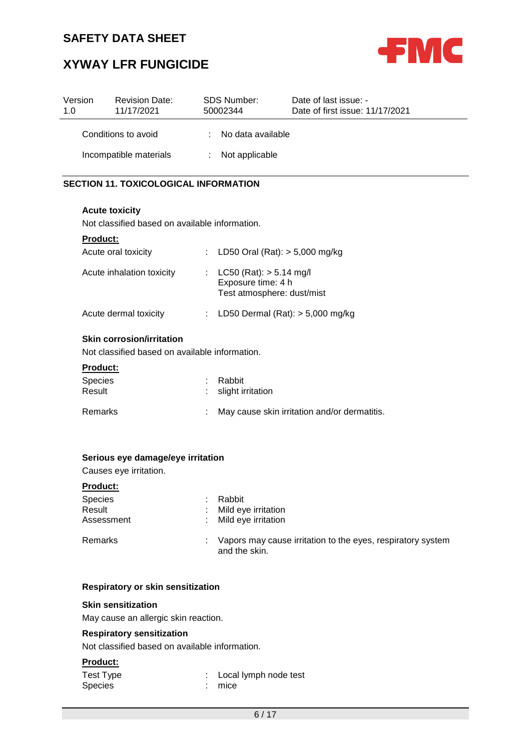

# **XYWAY LFR FUNGICIDE**

| Version<br>1.0 | <b>Revision Date:</b><br>11/17/2021 | <b>SDS Number:</b><br>50002344 |                   | Date of last issue: -<br>Date of first issue: 11/17/2021 |
|----------------|-------------------------------------|--------------------------------|-------------------|----------------------------------------------------------|
|                | Conditions to avoid                 | ÷.                             | No data available |                                                          |
|                | Incompatible materials              |                                | : Not applicable  |                                                          |

### **SECTION 11. TOXICOLOGICAL INFORMATION**

#### **Acute toxicity**

Not classified based on available information.

| <b>Product:</b>            |                                                                                 |
|----------------------------|---------------------------------------------------------------------------------|
| Acute oral toxicity        | : LD50 Oral (Rat): $> 5,000$ mg/kg                                              |
| Acute inhalation toxicity  | : $LC50 (Rat): > 5.14 mg/l$<br>Exposure time: 4 h<br>Test atmosphere: dust/mist |
| Acute dermal toxicity      | : LD50 Dermal $(Rat):$ > 5,000 mg/kg                                            |
| Oldin sauvastan luuttattan |                                                                                 |

#### **Skin corrosion/irritation**

Not classified based on available information.

#### **Product:**

| <b>Species</b><br>Result | : Rabbit<br>: slight irritation |                                              |  |
|--------------------------|---------------------------------|----------------------------------------------|--|
| <b>Remarks</b>           |                                 | May cause skin irritation and/or dermatitis. |  |

#### **Serious eye damage/eye irritation**

Causes eye irritation.

#### **Product:**

| <b>Species</b><br>Result<br>Assessment | Rabbit<br>: Mild eye irritation<br>: Mild eye irritation                       |
|----------------------------------------|--------------------------------------------------------------------------------|
| Remarks                                | : Vapors may cause irritation to the eyes, respiratory system<br>and the skin. |

#### **Respiratory or skin sensitization**

#### **Skin sensitization**

May cause an allergic skin reaction.

#### **Respiratory sensitization**

Not classified based on available information.

### **Product:**

| Test Type      | : Local lymph node test |
|----------------|-------------------------|
| <b>Species</b> | $:$ mice                |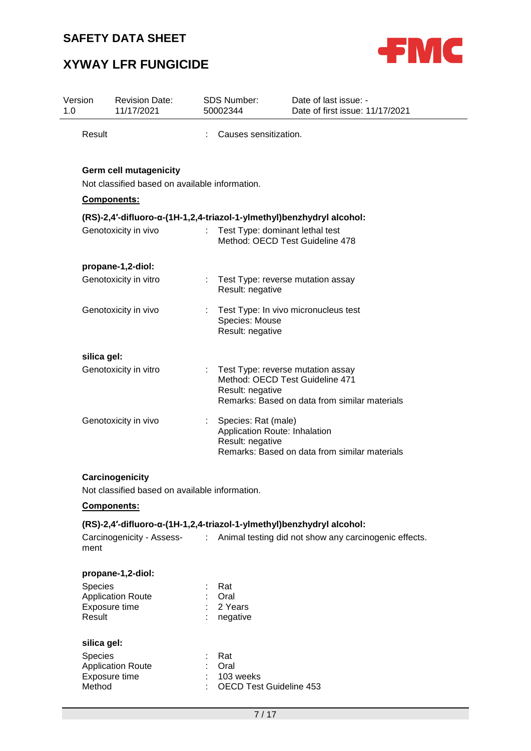

# **XYWAY LFR FUNGICIDE**

| Version<br>1.0 | <b>Revision Date:</b><br>11/17/2021                                                            | <b>SDS Number:</b><br>50002344                                           | Date of last issue: -<br>Date of first issue: 11/17/2021                                                                         |
|----------------|------------------------------------------------------------------------------------------------|--------------------------------------------------------------------------|----------------------------------------------------------------------------------------------------------------------------------|
| Result         |                                                                                                | Causes sensitization.                                                    |                                                                                                                                  |
|                | <b>Germ cell mutagenicity</b><br>Not classified based on available information.<br>Components: |                                                                          |                                                                                                                                  |
|                |                                                                                                |                                                                          | (RS)-2,4'-difluoro-α-(1H-1,2,4-triazol-1-ylmethyl)benzhydryl alcohol:                                                            |
|                | Genotoxicity in vivo                                                                           |                                                                          | Test Type: dominant lethal test<br>Method: OECD Test Guideline 478                                                               |
|                | propane-1,2-diol:                                                                              |                                                                          |                                                                                                                                  |
|                | Genotoxicity in vitro                                                                          | Result: negative                                                         | Test Type: reverse mutation assay                                                                                                |
|                | Genotoxicity in vivo                                                                           | Species: Mouse<br>Result: negative                                       | Test Type: In vivo micronucleus test                                                                                             |
| silica gel:    |                                                                                                |                                                                          |                                                                                                                                  |
|                | Genotoxicity in vitro                                                                          | Result: negative                                                         | Test Type: reverse mutation assay<br>Method: OECD Test Guideline 471<br>Remarks: Based on data from similar materials            |
|                | Genotoxicity in vivo                                                                           | Species: Rat (male)<br>Application Route: Inhalation<br>Result: negative | Remarks: Based on data from similar materials                                                                                    |
|                | Carcinogenicity                                                                                |                                                                          |                                                                                                                                  |
|                | Not classified based on available information.                                                 |                                                                          |                                                                                                                                  |
|                | <b>Components:</b>                                                                             |                                                                          |                                                                                                                                  |
| ment           | Carcinogenicity - Assess-                                                                      |                                                                          | (RS)-2,4'-difluoro-α-(1H-1,2,4-triazol-1-ylmethyl)benzhydryl alcohol:<br>: Animal testing did not show any carcinogenic effects. |
|                | propane-1,2-diol:                                                                              |                                                                          |                                                                                                                                  |
| <b>Species</b> |                                                                                                | Rat                                                                      |                                                                                                                                  |
|                | <b>Application Route</b>                                                                       | Oral                                                                     |                                                                                                                                  |
| Result         | Exposure time                                                                                  | 2 Years<br>negative                                                      |                                                                                                                                  |
| silica gel:    |                                                                                                |                                                                          |                                                                                                                                  |
| <b>Species</b> |                                                                                                | Rat                                                                      |                                                                                                                                  |
|                | <b>Application Route</b>                                                                       | Oral                                                                     |                                                                                                                                  |
| Method         | Exposure time                                                                                  | 103 weeks<br>OECD Test Guideline 453                                     |                                                                                                                                  |

: OECD Test Guideline 453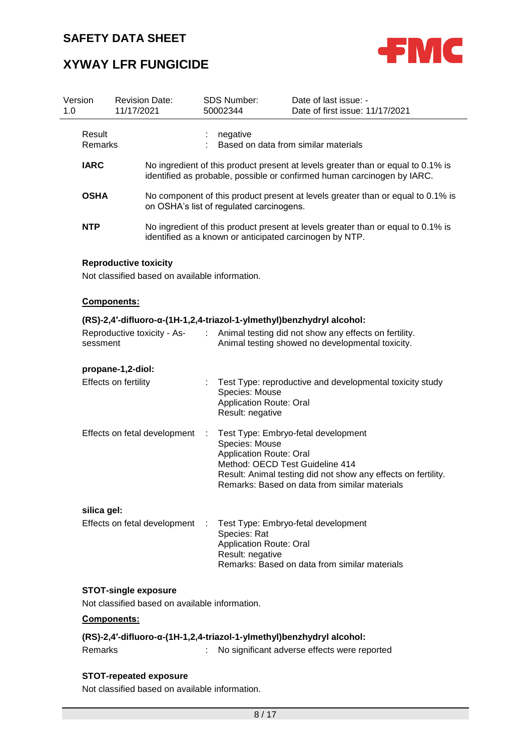

# **XYWAY LFR FUNGICIDE**

| 1.0 | Version                                                                          | <b>Revision Date:</b><br>11/17/2021                                            |            | SDS Number:<br>50002344                                              | Date of last issue: -<br>Date of first issue: 11/17/2021                                                                                                                                 |  |
|-----|----------------------------------------------------------------------------------|--------------------------------------------------------------------------------|------------|----------------------------------------------------------------------|------------------------------------------------------------------------------------------------------------------------------------------------------------------------------------------|--|
|     | Result<br>Remarks                                                                |                                                                                |            | negative                                                             | Based on data from similar materials                                                                                                                                                     |  |
|     | <b>IARC</b>                                                                      |                                                                                |            |                                                                      | No ingredient of this product present at levels greater than or equal to 0.1% is<br>identified as probable, possible or confirmed human carcinogen by IARC.                              |  |
|     | <b>OSHA</b>                                                                      |                                                                                |            | on OSHA's list of regulated carcinogens.                             | No component of this product present at levels greater than or equal to 0.1% is                                                                                                          |  |
|     | <b>NTP</b>                                                                       |                                                                                |            |                                                                      | No ingredient of this product present at levels greater than or equal to 0.1% is<br>identified as a known or anticipated carcinogen by NTP.                                              |  |
|     |                                                                                  | <b>Reproductive toxicity</b><br>Not classified based on available information. |            |                                                                      |                                                                                                                                                                                          |  |
|     |                                                                                  | Components:                                                                    |            |                                                                      |                                                                                                                                                                                          |  |
|     |                                                                                  |                                                                                |            |                                                                      | (RS)-2,4'-difluoro-α-(1H-1,2,4-triazol-1-ylmethyl)benzhydryl alcohol:                                                                                                                    |  |
|     | sessment                                                                         | Reproductive toxicity - As-                                                    |            |                                                                      | Animal testing did not show any effects on fertility.<br>Animal testing showed no developmental toxicity.                                                                                |  |
|     |                                                                                  | propane-1,2-diol:                                                              |            |                                                                      |                                                                                                                                                                                          |  |
|     | Effects on fertility<br>Effects on fetal development                             |                                                                                |            | Species: Mouse<br><b>Application Route: Oral</b><br>Result: negative | Test Type: reproductive and developmental toxicity study                                                                                                                                 |  |
|     |                                                                                  |                                                                                |            | Species: Mouse<br><b>Application Route: Oral</b>                     | Test Type: Embryo-fetal development<br>Method: OECD Test Guideline 414<br>Result: Animal testing did not show any effects on fertility.<br>Remarks: Based on data from similar materials |  |
|     | silica gel:                                                                      | Effects on fetal development                                                   | <b>COL</b> | Species: Rat<br><b>Application Route: Oral</b><br>Result: negative   | Test Type: Embryo-fetal development<br>Remarks: Based on data from similar materials                                                                                                     |  |
|     |                                                                                  |                                                                                |            |                                                                      |                                                                                                                                                                                          |  |
|     |                                                                                  | Components:                                                                    |            |                                                                      |                                                                                                                                                                                          |  |
|     | (RS)-2,4'-difluoro-α-(1H-1,2,4-triazol-1-ylmethyl)benzhydryl alcohol:<br>Remarks |                                                                                |            |                                                                      | No significant adverse effects were reported                                                                                                                                             |  |

### **STOT-repeated exposure**

Not classified based on available information.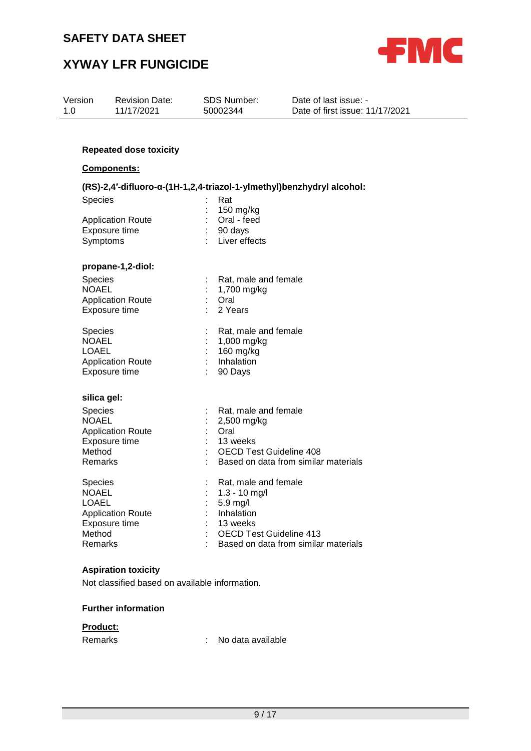

# **XYWAY LFR FUNGICIDE**

| Version<br>1.0                                                                                                                     | <b>Revision Date:</b><br>11/17/2021                                                                         | <b>SDS Number:</b><br>50002344                                                                                                                                                                             | Date of last issue: -<br>Date of first issue: 11/17/2021                     |
|------------------------------------------------------------------------------------------------------------------------------------|-------------------------------------------------------------------------------------------------------------|------------------------------------------------------------------------------------------------------------------------------------------------------------------------------------------------------------|------------------------------------------------------------------------------|
|                                                                                                                                    | <b>Repeated dose toxicity</b><br>Components:                                                                |                                                                                                                                                                                                            |                                                                              |
| <b>Species</b><br>Symptoms                                                                                                         | <b>Application Route</b><br>Exposure time                                                                   | Rat<br>150 mg/kg<br>Oral - feed<br>90 days<br>Liver effects                                                                                                                                                | (RS)-2,4'-difluoro-α-(1H-1,2,4-triazol-1-ylmethyl)benzhydryl alcohol:        |
| <b>Species</b><br><b>NOAEL</b><br>Species<br><b>NOAEL</b><br><b>LOAEL</b>                                                          | propane-1,2-diol:<br><b>Application Route</b><br>Exposure time<br><b>Application Route</b><br>Exposure time | Rat, male and female<br>1,700 mg/kg<br>Oral<br>2 Years<br>Rat, male and female<br>1,000 mg/kg<br>160 mg/kg<br>Inhalation<br>90 Days                                                                        |                                                                              |
| silica gel:<br>Species<br><b>NOAEL</b><br>Method<br>Remarks<br><b>Species</b><br><b>NOAEL</b><br><b>LOAEL</b><br>Method<br>Remarks | <b>Application Route</b><br>Exposure time<br><b>Application Route</b><br>Exposure time                      | Rat, male and female<br>2,500 mg/kg<br>Oral<br>13 weeks<br><b>OECD Test Guideline 408</b><br>Rat, male and female<br>1.3 - 10 mg/l<br>5.9 mg/l<br>Inhalation<br>13 weeks<br><b>OECD Test Guideline 413</b> | Based on data from similar materials<br>Based on data from similar materials |
|                                                                                                                                    | <b>Asniration toxicity</b>                                                                                  |                                                                                                                                                                                                            |                                                                              |

**Aspiration toxicity**

Not classified based on available information.

#### **Further information**

#### **Product:**

Remarks : No data available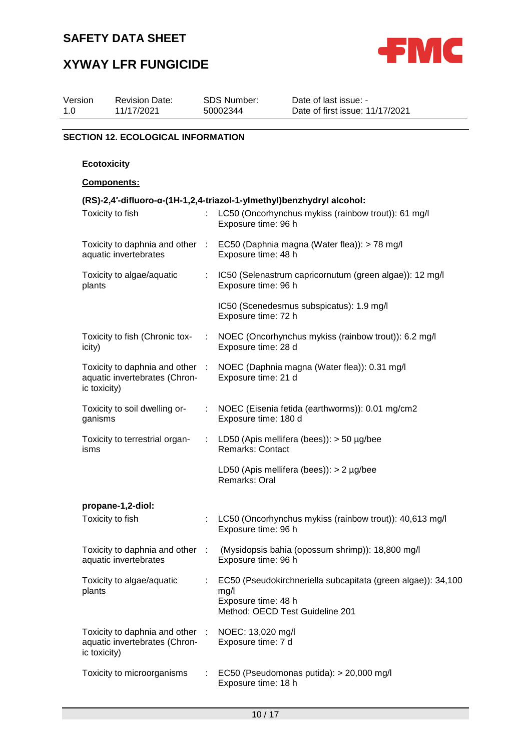

# **XYWAY LFR FUNGICIDE**

| Version<br>1.0 | <b>Revision Date:</b><br>11/17/2021                                   |    | SDS Number:<br>50002344                 | Date of last issue: -<br>Date of first issue: 11/17/2021                                        |
|----------------|-----------------------------------------------------------------------|----|-----------------------------------------|-------------------------------------------------------------------------------------------------|
|                | <b>SECTION 12. ECOLOGICAL INFORMATION</b>                             |    |                                         |                                                                                                 |
|                | <b>Ecotoxicity</b>                                                    |    |                                         |                                                                                                 |
|                | Components:                                                           |    |                                         |                                                                                                 |
|                | (RS)-2,4'-difluoro-α-(1H-1,2,4-triazol-1-ylmethyl)benzhydryl alcohol: |    |                                         |                                                                                                 |
|                | Toxicity to fish                                                      |    | Exposure time: 96 h                     | LC50 (Oncorhynchus mykiss (rainbow trout)): 61 mg/l                                             |
|                | aquatic invertebrates                                                 |    | Exposure time: 48 h                     | Toxicity to daphnia and other : EC50 (Daphnia magna (Water flea)): > 78 mg/l                    |
| plants         | Toxicity to algae/aquatic                                             | ÷. | Exposure time: 96 h                     | IC50 (Selenastrum capricornutum (green algae)): 12 mg/l                                         |
|                |                                                                       |    | Exposure time: 72 h                     | IC50 (Scenedesmus subspicatus): 1.9 mg/l                                                        |
| icity)         | Toxicity to fish (Chronic tox-                                        |    | Exposure time: 28 d                     | NOEC (Oncorhynchus mykiss (rainbow trout)): 6.2 mg/l                                            |
| ic toxicity)   | Toxicity to daphnia and other :<br>aquatic invertebrates (Chron-      |    | Exposure time: 21 d                     | NOEC (Daphnia magna (Water flea)): 0.31 mg/l                                                    |
| ganisms        | Toxicity to soil dwelling or-                                         |    | Exposure time: 180 d                    | NOEC (Eisenia fetida (earthworms)): 0.01 mg/cm2                                                 |
| isms           | Toxicity to terrestrial organ-                                        |    | <b>Remarks: Contact</b>                 | : LD50 (Apis mellifera (bees)): > 50 µg/bee                                                     |
|                |                                                                       |    | Remarks: Oral                           | LD50 (Apis mellifera (bees)): $> 2$ µg/bee                                                      |
|                | propane-1,2-diol:                                                     |    |                                         |                                                                                                 |
|                | Toxicity to fish                                                      |    | Exposure time: 96 h                     | LC50 (Oncorhynchus mykiss (rainbow trout)): 40,613 mg/l                                         |
|                | Toxicity to daphnia and other :<br>aquatic invertebrates              |    | Exposure time: 96 h                     | (Mysidopsis bahia (opossum shrimp)): 18,800 mg/l                                                |
| plants         | Toxicity to algae/aquatic                                             |    | mg/l<br>Exposure time: 48 h             | EC50 (Pseudokirchneriella subcapitata (green algae)): 34,100<br>Method: OECD Test Guideline 201 |
| ic toxicity)   | Toxicity to daphnia and other :<br>aquatic invertebrates (Chron-      |    | NOEC: 13,020 mg/l<br>Exposure time: 7 d |                                                                                                 |
|                | Toxicity to microorganisms                                            |    | Exposure time: 18 h                     | EC50 (Pseudomonas putida): > 20,000 mg/l                                                        |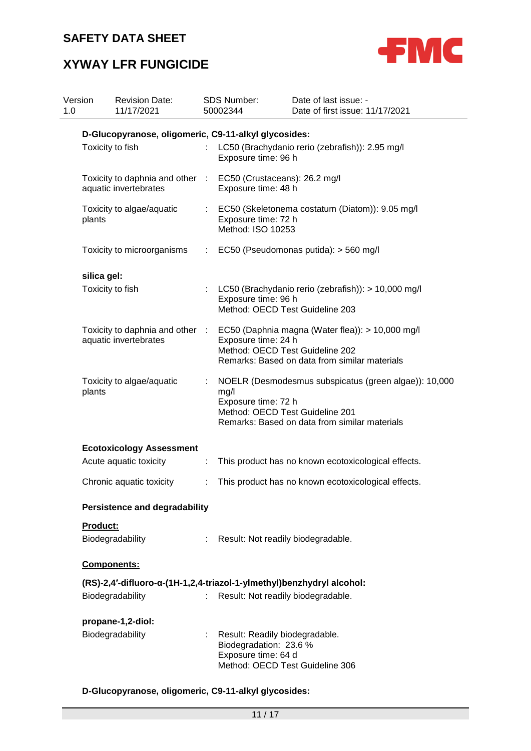

# **XYWAY LFR FUNGICIDE**

| Version<br>1.0 |                  | <b>Revision Date:</b><br>11/17/2021                                                       |                           | <b>SDS Number:</b><br>50002344                                                                                     | Date of last issue: -<br>Date of first issue: 11/17/2021                                               |
|----------------|------------------|-------------------------------------------------------------------------------------------|---------------------------|--------------------------------------------------------------------------------------------------------------------|--------------------------------------------------------------------------------------------------------|
|                |                  | D-Glucopyranose, oligomeric, C9-11-alkyl glycosides:                                      |                           |                                                                                                                    |                                                                                                        |
|                | Toxicity to fish |                                                                                           | Đ.                        | LC50 (Brachydanio rerio (zebrafish)): 2.95 mg/l<br>Exposure time: 96 h                                             |                                                                                                        |
|                |                  | Toxicity to daphnia and other<br>aquatic invertebrates                                    | $\sim 100$                | EC50 (Crustaceans): 26.2 mg/l<br>Exposure time: 48 h                                                               |                                                                                                        |
|                | plants           | Toxicity to algae/aquatic                                                                 | $\mathbb{Z}^{\mathbb{Z}}$ | EC50 (Skeletonema costatum (Diatom)): 9.05 mg/l<br>Exposure time: 72 h<br>Method: ISO 10253                        |                                                                                                        |
|                |                  | Toxicity to microorganisms                                                                |                           |                                                                                                                    | $\therefore$ EC50 (Pseudomonas putida): $>$ 560 mg/l                                                   |
|                | silica gel:      |                                                                                           |                           |                                                                                                                    |                                                                                                        |
|                | Toxicity to fish |                                                                                           |                           | Exposure time: 96 h<br>Method: OECD Test Guideline 203                                                             | LC50 (Brachydanio rerio (zebrafish)): > 10,000 mg/l                                                    |
|                |                  | Toxicity to daphnia and other :<br>aquatic invertebrates                                  |                           | Exposure time: 24 h<br>Method: OECD Test Guideline 202                                                             | EC50 (Daphnia magna (Water flea)): > 10,000 mg/l<br>Remarks: Based on data from similar materials      |
|                | plants           | Toxicity to algae/aquatic                                                                 | ÷.                        | mg/l<br>Exposure time: 72 h<br>Method: OECD Test Guideline 201                                                     | NOELR (Desmodesmus subspicatus (green algae)): 10,000<br>Remarks: Based on data from similar materials |
|                |                  | <b>Ecotoxicology Assessment</b>                                                           |                           |                                                                                                                    |                                                                                                        |
|                |                  | Acute aquatic toxicity                                                                    | ÷.                        |                                                                                                                    | This product has no known ecotoxicological effects.                                                    |
|                |                  | Chronic aquatic toxicity                                                                  | ÷                         |                                                                                                                    | This product has no known ecotoxicological effects.                                                    |
|                |                  | <b>Persistence and degradability</b>                                                      |                           |                                                                                                                    |                                                                                                        |
|                | Product:         | Biodegradability                                                                          |                           | Result: Not readily biodegradable.                                                                                 |                                                                                                        |
|                | Components:      |                                                                                           |                           |                                                                                                                    |                                                                                                        |
|                |                  | (RS)-2,4'-difluoro-α-(1H-1,2,4-triazol-1-ylmethyl)benzhydryl alcohol:<br>Biodegradability | t.                        | Result: Not readily biodegradable.                                                                                 |                                                                                                        |
|                |                  | propane-1,2-diol:<br>Biodegradability                                                     |                           | Result: Readily biodegradable.<br>Biodegradation: 23.6 %<br>Exposure time: 64 d<br>Method: OECD Test Guideline 306 |                                                                                                        |

### **D-Glucopyranose, oligomeric, C9-11-alkyl glycosides:**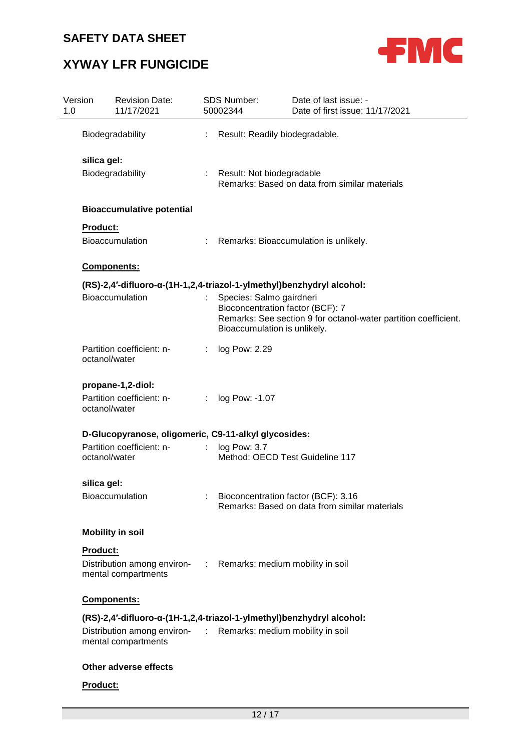

# **XYWAY LFR FUNGICIDE**

| Version<br>1.0 | <b>Revision Date:</b><br>11/17/2021                                                   |    | SDS Number:<br>50002344                                  | Date of last issue: -<br>Date of first issue: 11/17/2021                                            |
|----------------|---------------------------------------------------------------------------------------|----|----------------------------------------------------------|-----------------------------------------------------------------------------------------------------|
|                | Biodegradability                                                                      |    | Result: Readily biodegradable.                           |                                                                                                     |
| silica gel:    |                                                                                       |    |                                                          |                                                                                                     |
|                | Biodegradability                                                                      |    | : Result: Not biodegradable                              | Remarks: Based on data from similar materials                                                       |
|                | <b>Bioaccumulative potential</b>                                                      |    |                                                          |                                                                                                     |
| Product:       |                                                                                       |    |                                                          |                                                                                                     |
|                | <b>Bioaccumulation</b>                                                                |    |                                                          | : Remarks: Bioaccumulation is unlikely.                                                             |
|                | Components:                                                                           |    |                                                          |                                                                                                     |
|                | (RS)-2,4'-difluoro-α-(1H-1,2,4-triazol-1-ylmethyl)benzhydryl alcohol:                 |    |                                                          |                                                                                                     |
|                | Bioaccumulation                                                                       |    | Species: Salmo gairdneri<br>Bioaccumulation is unlikely. | Bioconcentration factor (BCF): 7<br>Remarks: See section 9 for octanol-water partition coefficient. |
|                | Partition coefficient: n-<br>octanol/water                                            |    | log Pow: 2.29                                            |                                                                                                     |
|                | propane-1,2-diol:                                                                     |    |                                                          |                                                                                                     |
|                | Partition coefficient: n-<br>octanol/water                                            | ÷. | log Pow: -1.07                                           |                                                                                                     |
|                | D-Glucopyranose, oligomeric, C9-11-alkyl glycosides:                                  |    |                                                          |                                                                                                     |
|                | Partition coefficient: n-<br>octanol/water                                            | ÷. | log Pow: 3.7                                             | Method: OECD Test Guideline 117                                                                     |
| silica gel:    |                                                                                       |    |                                                          |                                                                                                     |
|                | Bioaccumulation                                                                       |    |                                                          | : Bioconcentration factor (BCF): 3.16<br>Remarks: Based on data from similar materials              |
|                | <b>Mobility in soil</b>                                                               |    |                                                          |                                                                                                     |
| Product:       |                                                                                       |    |                                                          |                                                                                                     |
|                | Distribution among environ- : Remarks: medium mobility in soil<br>mental compartments |    |                                                          |                                                                                                     |
|                | <b>Components:</b>                                                                    |    |                                                          |                                                                                                     |
|                | (RS)-2,4'-difluoro-α-(1H-1,2,4-triazol-1-ylmethyl)benzhydryl alcohol:                 |    |                                                          |                                                                                                     |
|                | Distribution among environ- : Remarks: medium mobility in soil<br>mental compartments |    |                                                          |                                                                                                     |
|                | Other adverse effects                                                                 |    |                                                          |                                                                                                     |
| Product:       |                                                                                       |    |                                                          |                                                                                                     |
|                |                                                                                       |    |                                                          |                                                                                                     |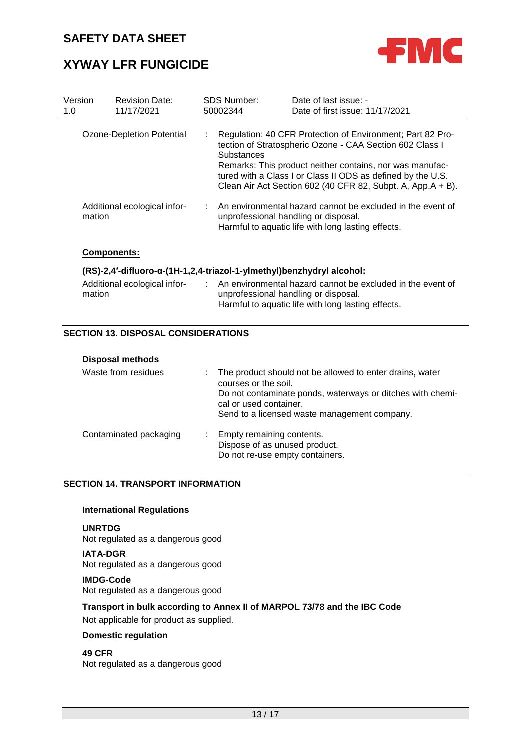

# **XYWAY LFR FUNGICIDE**

| Version<br>1.0 | <b>Revision Date:</b><br>11/17/2021                                   | <b>SDS Number:</b><br>50002344 | Date of last issue: -<br>Date of first issue: 11/17/2021                                                                                                                                                                                                                                                         |
|----------------|-----------------------------------------------------------------------|--------------------------------|------------------------------------------------------------------------------------------------------------------------------------------------------------------------------------------------------------------------------------------------------------------------------------------------------------------|
|                | Ozone-Depletion Potential                                             | <b>Substances</b>              | Regulation: 40 CFR Protection of Environment; Part 82 Pro-<br>tection of Stratospheric Ozone - CAA Section 602 Class I<br>Remarks: This product neither contains, nor was manufac-<br>tured with a Class I or Class II ODS as defined by the U.S.<br>Clean Air Act Section 602 (40 CFR 82, Subpt. A, App.A + B). |
|                | Additional ecological infor-<br>mation                                |                                | : An environmental hazard cannot be excluded in the event of<br>unprofessional handling or disposal.<br>Harmful to aquatic life with long lasting effects.                                                                                                                                                       |
|                | <b>Components:</b>                                                    |                                |                                                                                                                                                                                                                                                                                                                  |
|                | (RS)-2,4'-difluoro-α-(1H-1,2,4-triazol-1-ylmethyl)benzhydryl alcohol: |                                |                                                                                                                                                                                                                                                                                                                  |
|                | Additional ecological infor-                                          |                                | : An environmental hazard cannot be excluded in the event of                                                                                                                                                                                                                                                     |

#### **SECTION 13. DISPOSAL CONSIDERATIONS**

mation

| <b>Disposal methods</b> |                                                                                                                                                                                                                            |
|-------------------------|----------------------------------------------------------------------------------------------------------------------------------------------------------------------------------------------------------------------------|
| Waste from residues     | : The product should not be allowed to enter drains, water<br>courses or the soil.<br>Do not contaminate ponds, waterways or ditches with chemi-<br>cal or used container.<br>Send to a licensed waste management company. |
| Contaminated packaging  | : Empty remaining contents.<br>Dispose of as unused product.<br>Do not re-use empty containers.                                                                                                                            |

unprofessional handling or disposal.

Harmful to aquatic life with long lasting effects.

### **SECTION 14. TRANSPORT INFORMATION**

#### **International Regulations**

**UNRTDG** Not regulated as a dangerous good

**IATA-DGR** Not regulated as a dangerous good

#### **IMDG-Code** Not regulated as a dangerous good

#### **Transport in bulk according to Annex II of MARPOL 73/78 and the IBC Code**

Not applicable for product as supplied.

#### **Domestic regulation**

# **49 CFR**

Not regulated as a dangerous good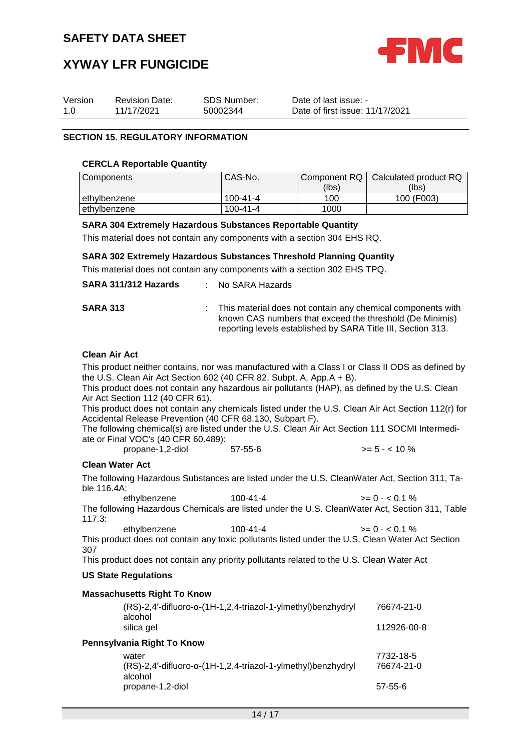

# **XYWAY LFR FUNGICIDE**

| Version | <b>Revision Date:</b> | <b>SDS Number:</b> |
|---------|-----------------------|--------------------|
| 1.0     | 11/17/2021            | 50002344           |

Date of last issue: - Date of first issue: 11/17/2021

### **SECTION 15. REGULATORY INFORMATION**

#### **CERCLA Reportable Quantity**

| Components     | CAS-No.        | Component RQ I | Calculated product RQ |
|----------------|----------------|----------------|-----------------------|
|                |                | (lbs)          | (lbs)                 |
| l ethvlbenzene | $100 - 41 - 4$ | 100            | 100 (F003)            |
| l ethvlbenzene | 100-41-4       | 1000           |                       |

#### **SARA 304 Extremely Hazardous Substances Reportable Quantity**

This material does not contain any components with a section 304 EHS RQ.

#### **SARA 302 Extremely Hazardous Substances Threshold Planning Quantity**

This material does not contain any components with a section 302 EHS TPQ.

|                                                                                                                                                                                                                                                                                                                                                                                                                                                                                                                                                                                                                                                                                         | SARA 311/312 Hazards                 | No SARA Hazards                                                                                                                                                                                                 |                                    |  |  |
|-----------------------------------------------------------------------------------------------------------------------------------------------------------------------------------------------------------------------------------------------------------------------------------------------------------------------------------------------------------------------------------------------------------------------------------------------------------------------------------------------------------------------------------------------------------------------------------------------------------------------------------------------------------------------------------------|--------------------------------------|-----------------------------------------------------------------------------------------------------------------------------------------------------------------------------------------------------------------|------------------------------------|--|--|
| <b>SARA 313</b>                                                                                                                                                                                                                                                                                                                                                                                                                                                                                                                                                                                                                                                                         |                                      | This material does not contain any chemical components with<br>known CAS numbers that exceed the threshold (De Minimis)<br>reporting levels established by SARA Title III, Section 313.                         |                                    |  |  |
| <b>Clean Air Act</b><br>This product neither contains, nor was manufactured with a Class I or Class II ODS as defined by<br>the U.S. Clean Air Act Section 602 (40 CFR 82, Subpt. A, App.A + B).<br>This product does not contain any hazardous air pollutants (HAP), as defined by the U.S. Clean<br>Air Act Section 112 (40 CFR 61).<br>This product does not contain any chemicals listed under the U.S. Clean Air Act Section 112(r) for<br>Accidental Release Prevention (40 CFR 68.130, Subpart F).<br>The following chemical(s) are listed under the U.S. Clean Air Act Section 111 SOCMI Intermedi-<br>ate or Final VOC's (40 CFR 60.489):<br>$57 - 55 - 6$<br>$>= 5 - < 10 \%$ |                                      |                                                                                                                                                                                                                 |                                    |  |  |
| <b>Clean Water Act</b>                                                                                                                                                                                                                                                                                                                                                                                                                                                                                                                                                                                                                                                                  | propane-1,2-diol                     |                                                                                                                                                                                                                 |                                    |  |  |
| The following Hazardous Substances are listed under the U.S. CleanWater Act, Section 311, Ta-<br>ble 116.4A:<br>$100 - 41 - 4$<br>ethylbenzene<br>$>= 0 - 0.1 \%$<br>The following Hazardous Chemicals are listed under the U.S. CleanWater Act, Section 311, Table                                                                                                                                                                                                                                                                                                                                                                                                                     |                                      |                                                                                                                                                                                                                 |                                    |  |  |
| 117.3:<br>307                                                                                                                                                                                                                                                                                                                                                                                                                                                                                                                                                                                                                                                                           | ethylbenzene                         | $100 - 41 - 4$<br>This product does not contain any toxic pollutants listed under the U.S. Clean Water Act Section<br>This product does not contain any priority pollutants related to the U.S. Clean Water Act | $>= 0 - 0.1 \%$                    |  |  |
| <b>US State Regulations</b>                                                                                                                                                                                                                                                                                                                                                                                                                                                                                                                                                                                                                                                             |                                      |                                                                                                                                                                                                                 |                                    |  |  |
| <b>Massachusetts Right To Know</b><br>(RS)-2,4'-difluoro-α-(1H-1,2,4-triazol-1-ylmethyl)benzhydryl<br>76674-21-0<br>alcohol<br>silica gel<br>112926-00-8                                                                                                                                                                                                                                                                                                                                                                                                                                                                                                                                |                                      |                                                                                                                                                                                                                 |                                    |  |  |
|                                                                                                                                                                                                                                                                                                                                                                                                                                                                                                                                                                                                                                                                                         | Pennsylvania Right To Know           |                                                                                                                                                                                                                 |                                    |  |  |
|                                                                                                                                                                                                                                                                                                                                                                                                                                                                                                                                                                                                                                                                                         | water<br>alcohol<br>propane-1,2-diol | (RS)-2,4'-difluoro-α-(1H-1,2,4-triazol-1-ylmethyl)benzhydryl                                                                                                                                                    | 7732-18-5<br>76674-21-0<br>57-55-6 |  |  |
|                                                                                                                                                                                                                                                                                                                                                                                                                                                                                                                                                                                                                                                                                         |                                      |                                                                                                                                                                                                                 |                                    |  |  |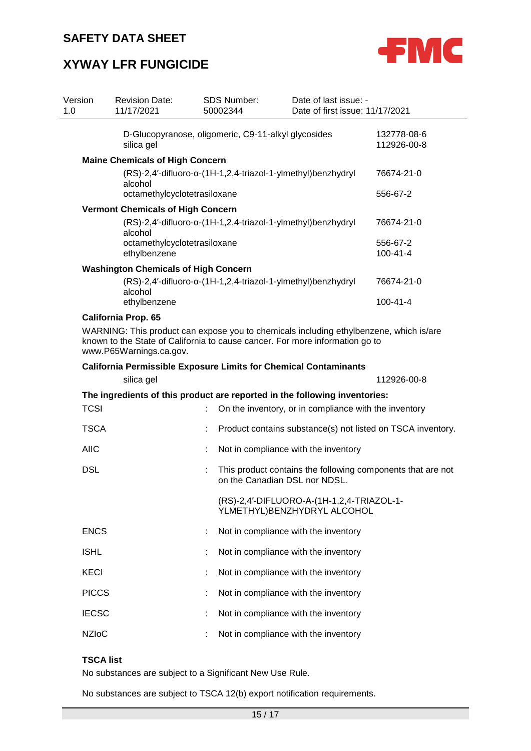

# **XYWAY LFR FUNGICIDE**

| Version<br>1.0 | <b>Revision Date:</b><br>11/17/2021                                                                                                                                                               | <b>SDS Number:</b><br>50002344                               | Date of last issue: -<br>Date of first issue: 11/17/2021                 |                                                             |
|----------------|---------------------------------------------------------------------------------------------------------------------------------------------------------------------------------------------------|--------------------------------------------------------------|--------------------------------------------------------------------------|-------------------------------------------------------------|
|                | silica gel                                                                                                                                                                                        | D-Glucopyranose, oligomeric, C9-11-alkyl glycosides          |                                                                          | 132778-08-6<br>112926-00-8                                  |
|                | <b>Maine Chemicals of High Concern</b>                                                                                                                                                            |                                                              |                                                                          |                                                             |
|                | alcohol                                                                                                                                                                                           | (RS)-2,4'-difluoro-α-(1H-1,2,4-triazol-1-ylmethyl)benzhydryl |                                                                          | 76674-21-0                                                  |
|                | octamethylcyclotetrasiloxane                                                                                                                                                                      |                                                              |                                                                          | 556-67-2                                                    |
|                | <b>Vermont Chemicals of High Concern</b>                                                                                                                                                          |                                                              |                                                                          |                                                             |
|                | alcohol                                                                                                                                                                                           | (RS)-2,4'-difluoro-α-(1H-1,2,4-triazol-1-ylmethyl)benzhydryl |                                                                          | 76674-21-0                                                  |
|                | octamethylcyclotetrasiloxane<br>ethylbenzene                                                                                                                                                      |                                                              |                                                                          | 556-67-2<br>$100 - 41 - 4$                                  |
|                |                                                                                                                                                                                                   |                                                              |                                                                          |                                                             |
|                | <b>Washington Chemicals of High Concern</b><br>alcohol                                                                                                                                            | (RS)-2,4'-difluoro-α-(1H-1,2,4-triazol-1-ylmethyl)benzhydryl |                                                                          | 76674-21-0                                                  |
|                | ethylbenzene                                                                                                                                                                                      |                                                              |                                                                          | $100 - 41 - 4$                                              |
|                | <b>California Prop. 65</b>                                                                                                                                                                        |                                                              |                                                                          |                                                             |
|                | WARNING: This product can expose you to chemicals including ethylbenzene, which is/are<br>known to the State of California to cause cancer. For more information go to<br>www.P65Warnings.ca.gov. |                                                              |                                                                          |                                                             |
|                | <b>California Permissible Exposure Limits for Chemical Contaminants</b>                                                                                                                           |                                                              |                                                                          |                                                             |
|                | silica gel                                                                                                                                                                                        |                                                              |                                                                          | 112926-00-8                                                 |
|                | The ingredients of this product are reported in the following inventories:                                                                                                                        |                                                              |                                                                          |                                                             |
| <b>TCSI</b>    |                                                                                                                                                                                                   |                                                              | On the inventory, or in compliance with the inventory                    |                                                             |
| <b>TSCA</b>    |                                                                                                                                                                                                   |                                                              |                                                                          | Product contains substance(s) not listed on TSCA inventory. |
| <b>AIIC</b>    |                                                                                                                                                                                                   |                                                              | Not in compliance with the inventory                                     |                                                             |
| <b>DSL</b>     |                                                                                                                                                                                                   | on the Canadian DSL nor NDSL.                                |                                                                          | This product contains the following components that are not |
|                |                                                                                                                                                                                                   |                                                              | (RS)-2,4'-DIFLUORO-A-(1H-1,2,4-TRIAZOL-1-<br>YLMETHYL)BENZHYDRYL ALCOHOL |                                                             |
| <b>ENCS</b>    |                                                                                                                                                                                                   |                                                              | Not in compliance with the inventory                                     |                                                             |
| <b>ISHL</b>    |                                                                                                                                                                                                   |                                                              | Not in compliance with the inventory                                     |                                                             |
| <b>KECI</b>    |                                                                                                                                                                                                   |                                                              | Not in compliance with the inventory                                     |                                                             |
| <b>PICCS</b>   |                                                                                                                                                                                                   |                                                              | Not in compliance with the inventory                                     |                                                             |
| <b>IECSC</b>   |                                                                                                                                                                                                   |                                                              | Not in compliance with the inventory                                     |                                                             |
| <b>NZIoC</b>   |                                                                                                                                                                                                   |                                                              | Not in compliance with the inventory                                     |                                                             |

### **TSCA list**

No substances are subject to a Significant New Use Rule.

No substances are subject to TSCA 12(b) export notification requirements.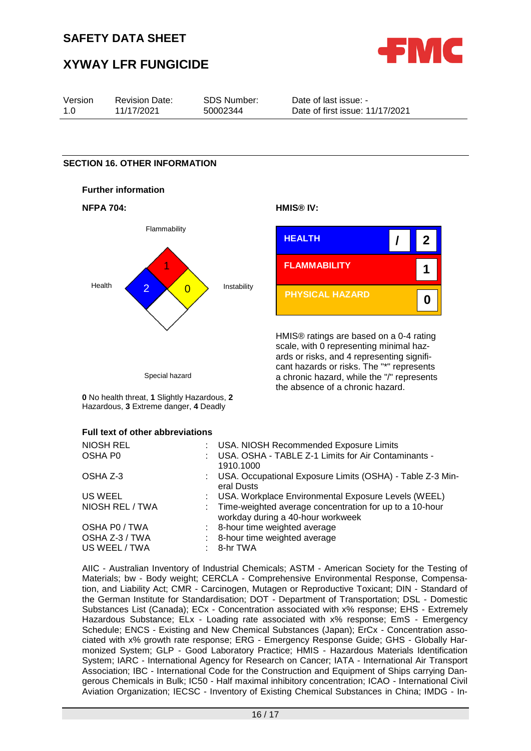

# **XYWAY LFR FUNGICIDE**

| Version | <b>Revision Date:</b> | SDS Number: | Date of last issue: -           |
|---------|-----------------------|-------------|---------------------------------|
| 1.0     | 11/17/2021            | 50002344    | Date of first issue: 11/17/2021 |

#### **SECTION 16. OTHER INFORMATION**









HMIS® ratings are based on a 0-4 rating scale, with 0 representing minimal hazards or risks, and 4 representing significant hazards or risks. The "\*" represents a chronic hazard, while the "/" represents the absence of a chronic hazard.

Special hazard

**0** No health threat, **1** Slightly Hazardous, **2** Hazardous, **3** Extreme danger, **4** Deadly

#### **Full text of other abbreviations**

| NIOSH REL       | : USA. NIOSH Recommended Exposure Limits                                                       |
|-----------------|------------------------------------------------------------------------------------------------|
| OSHA P0         | USA. OSHA - TABLE Z-1 Limits for Air Contaminants -<br>1910.1000                               |
| OSHA Z-3        | : USA. Occupational Exposure Limits (OSHA) - Table Z-3 Min-<br>eral Dusts                      |
| US WEEL         | : USA. Workplace Environmental Exposure Levels (WEEL)                                          |
| NIOSH REL / TWA | : Time-weighted average concentration for up to a 10-hour<br>workday during a 40-hour workweek |
| OSHA P0 / TWA   | : 8-hour time weighted average                                                                 |
| OSHA Z-3 / TWA  | 8-hour time weighted average                                                                   |
| US WEEL / TWA   | $: 8-hr$ TWA                                                                                   |

AIIC - Australian Inventory of Industrial Chemicals; ASTM - American Society for the Testing of Materials; bw - Body weight; CERCLA - Comprehensive Environmental Response, Compensation, and Liability Act; CMR - Carcinogen, Mutagen or Reproductive Toxicant; DIN - Standard of the German Institute for Standardisation; DOT - Department of Transportation; DSL - Domestic Substances List (Canada); ECx - Concentration associated with x% response; EHS - Extremely Hazardous Substance; ELx - Loading rate associated with x% response; EmS - Emergency Schedule; ENCS - Existing and New Chemical Substances (Japan); ErCx - Concentration associated with x% growth rate response; ERG - Emergency Response Guide; GHS - Globally Harmonized System; GLP - Good Laboratory Practice; HMIS - Hazardous Materials Identification System; IARC - International Agency for Research on Cancer; IATA - International Air Transport Association; IBC - International Code for the Construction and Equipment of Ships carrying Dangerous Chemicals in Bulk; IC50 - Half maximal inhibitory concentration; ICAO - International Civil Aviation Organization; IECSC - Inventory of Existing Chemical Substances in China; IMDG - In-